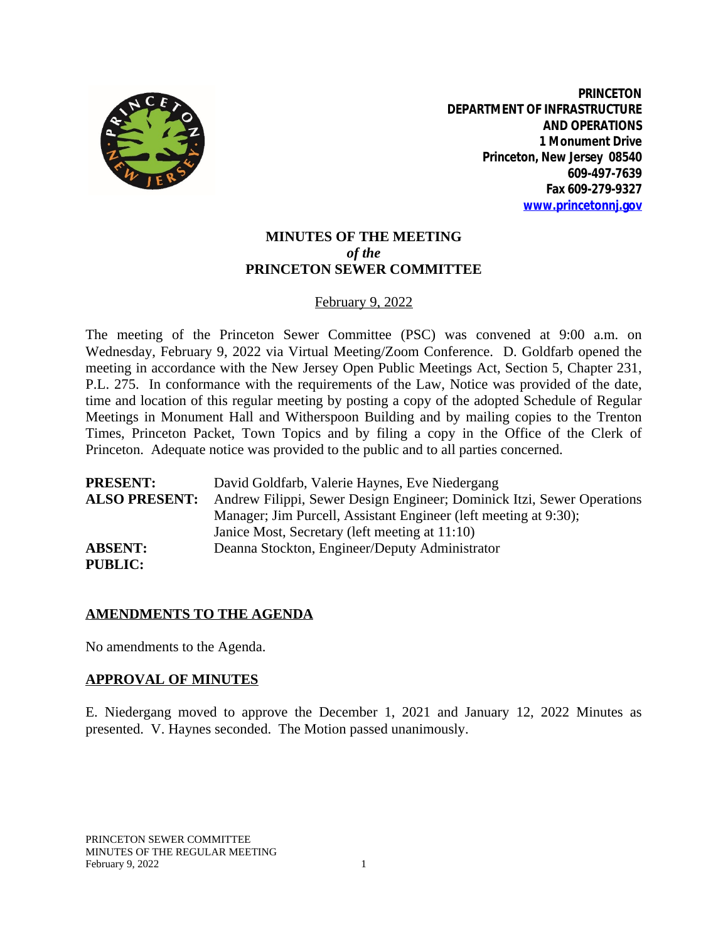

**PRINCETON DEPARTMENT OF INFRASTRUCTURE AND OPERATIONS 1 Monument Drive Princeton, New Jersey 08540 609-497-7639 Fax 609-279-9327 [www.princetonnj.gov](http://www.princetonnj.gov)**

# **MINUTES OF THE MEETING** *of the* **PRINCETON SEWER COMMITTEE**

### February 9, 2022

The meeting of the Princeton Sewer Committee (PSC) was convened at 9:00 a.m. on Wednesday, February 9, 2022 via Virtual Meeting/Zoom Conference. D. Goldfarb opened the meeting in accordance with the New Jersey Open Public Meetings Act, Section 5, Chapter 231, P.L. 275. In conformance with the requirements of the Law, Notice was provided of the date, time and location of this regular meeting by posting a copy of the adopted Schedule of Regular Meetings in Monument Hall and Witherspoon Building and by mailing copies to the Trenton Times, Princeton Packet, Town Topics and by filing a copy in the Office of the Clerk of Princeton. Adequate notice was provided to the public and to all parties concerned.

| <b>PRESENT:</b>      | David Goldfarb, Valerie Haynes, Eve Niedergang                         |
|----------------------|------------------------------------------------------------------------|
| <b>ALSO PRESENT:</b> | Andrew Filippi, Sewer Design Engineer; Dominick Itzi, Sewer Operations |
|                      | Manager; Jim Purcell, Assistant Engineer (left meeting at 9:30);       |
|                      | Janice Most, Secretary (left meeting at 11:10)                         |
| <b>ABSENT:</b>       | Deanna Stockton, Engineer/Deputy Administrator                         |
| PURLIC:              |                                                                        |

#### **AMENDMENTS TO THE AGENDA**

No amendments to the Agenda.

#### **APPROVAL OF MINUTES**

E. Niedergang moved to approve the December 1, 2021 and January 12, 2022 Minutes as presented. V. Haynes seconded. The Motion passed unanimously.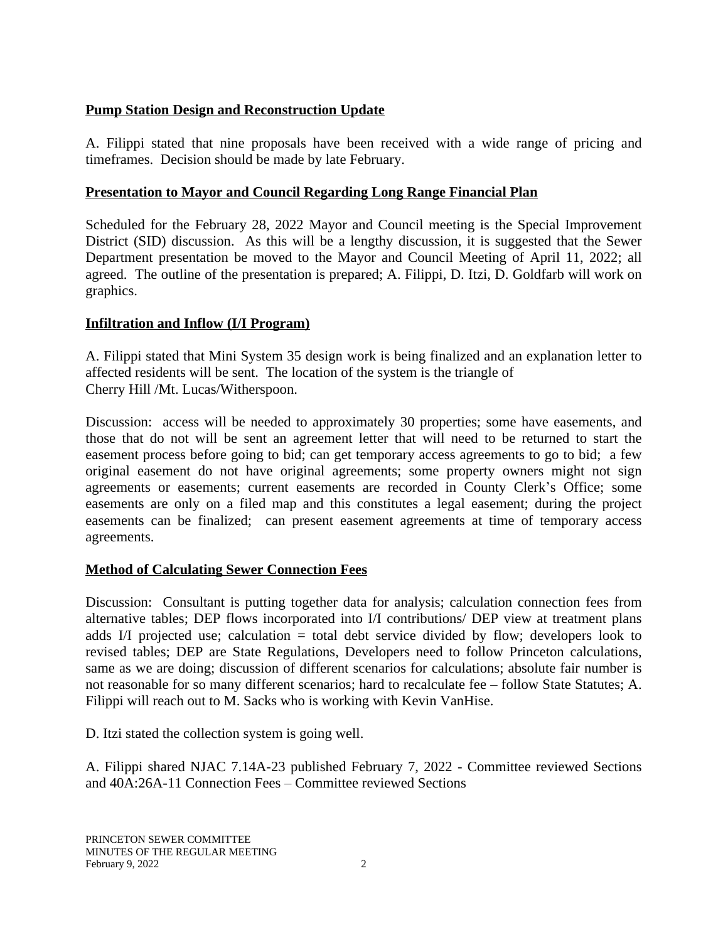# **Pump Station Design and Reconstruction Update**

A. Filippi stated that nine proposals have been received with a wide range of pricing and timeframes. Decision should be made by late February.

# **Presentation to Mayor and Council Regarding Long Range Financial Plan**

Scheduled for the February 28, 2022 Mayor and Council meeting is the Special Improvement District (SID) discussion. As this will be a lengthy discussion, it is suggested that the Sewer Department presentation be moved to the Mayor and Council Meeting of April 11, 2022; all agreed. The outline of the presentation is prepared; A. Filippi, D. Itzi, D. Goldfarb will work on graphics.

# **Infiltration and Inflow (I/I Program)**

A. Filippi stated that Mini System 35 design work is being finalized and an explanation letter to affected residents will be sent. The location of the system is the triangle of Cherry Hill /Mt. Lucas/Witherspoon.

Discussion: access will be needed to approximately 30 properties; some have easements, and those that do not will be sent an agreement letter that will need to be returned to start the easement process before going to bid; can get temporary access agreements to go to bid; a few original easement do not have original agreements; some property owners might not sign agreements or easements; current easements are recorded in County Clerk's Office; some easements are only on a filed map and this constitutes a legal easement; during the project easements can be finalized; can present easement agreements at time of temporary access agreements.

## **Method of Calculating Sewer Connection Fees**

Discussion: Consultant is putting together data for analysis; calculation connection fees from alternative tables; DEP flows incorporated into I/I contributions/ DEP view at treatment plans adds I/I projected use; calculation = total debt service divided by flow; developers look to revised tables; DEP are State Regulations, Developers need to follow Princeton calculations, same as we are doing; discussion of different scenarios for calculations; absolute fair number is not reasonable for so many different scenarios; hard to recalculate fee – follow State Statutes; A. Filippi will reach out to M. Sacks who is working with Kevin VanHise.

D. Itzi stated the collection system is going well.

A. Filippi shared NJAC 7.14A-23 published February 7, 2022 - Committee reviewed Sections and 40A:26A-11 Connection Fees – Committee reviewed Sections